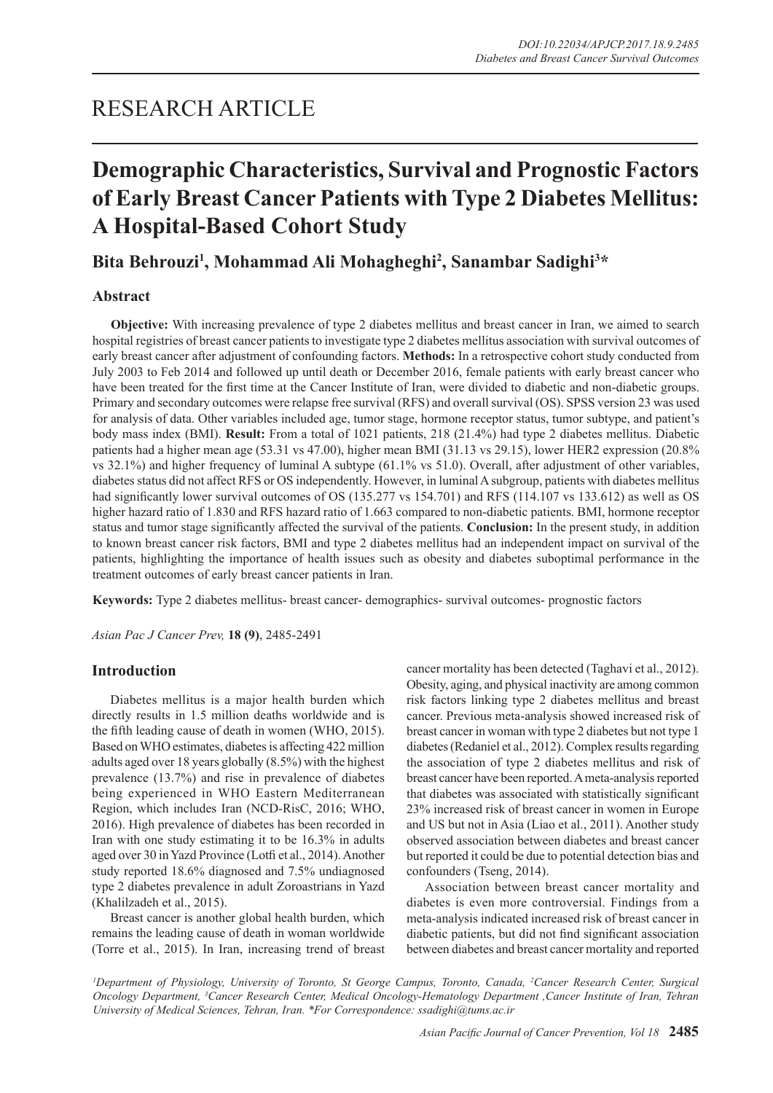## RESEARCH ARTICLE

# **Demographic Characteristics, Survival and Prognostic Factors of Early Breast Cancer Patients with Type 2 Diabetes Mellitus: A Hospital-Based Cohort Study**

## Bita Behrouzi<sup>1</sup>, Mohammad Ali Mohagheghi<sup>2</sup>, Sanambar Sadighi<sup>3\*</sup>

## **Abstract**

**Objective:** With increasing prevalence of type 2 diabetes mellitus and breast cancer in Iran, we aimed to search hospital registries of breast cancer patients to investigate type 2 diabetes mellitus association with survival outcomes of early breast cancer after adjustment of confounding factors. **Methods:** In a retrospective cohort study conducted from July 2003 to Feb 2014 and followed up until death or December 2016, female patients with early breast cancer who have been treated for the first time at the Cancer Institute of Iran, were divided to diabetic and non-diabetic groups. Primary and secondary outcomes were relapse free survival (RFS) and overall survival (OS). SPSS version 23 was used for analysis of data. Other variables included age, tumor stage, hormone receptor status, tumor subtype, and patient's body mass index (BMI). **Result:** From a total of 1021 patients, 218 (21.4%) had type 2 diabetes mellitus. Diabetic patients had a higher mean age (53.31 vs 47.00), higher mean BMI (31.13 vs 29.15), lower HER2 expression (20.8% vs 32.1%) and higher frequency of luminal A subtype (61.1% vs 51.0). Overall, after adjustment of other variables, diabetes status did not affect RFS or OS independently. However, in luminal A subgroup, patients with diabetes mellitus had significantly lower survival outcomes of OS (135.277 vs 154.701) and RFS (114.107 vs 133.612) as well as OS higher hazard ratio of 1.830 and RFS hazard ratio of 1.663 compared to non-diabetic patients. BMI, hormone receptor status and tumor stage significantly affected the survival of the patients. **Conclusion:** In the present study, in addition to known breast cancer risk factors, BMI and type 2 diabetes mellitus had an independent impact on survival of the patients, highlighting the importance of health issues such as obesity and diabetes suboptimal performance in the treatment outcomes of early breast cancer patients in Iran.

**Keywords:** Type 2 diabetes mellitus- breast cancer- demographics- survival outcomes- prognostic factors

*Asian Pac J Cancer Prev,* **18 (9)**, 2485-2491

## **Introduction**

Diabetes mellitus is a major health burden which directly results in 1.5 million deaths worldwide and is the fifth leading cause of death in women (WHO, 2015). Based on WHO estimates, diabetes is affecting 422 million adults aged over 18 years globally (8.5%) with the highest prevalence (13.7%) and rise in prevalence of diabetes being experienced in WHO Eastern Mediterranean Region, which includes Iran (NCD-RisC, 2016; WHO, 2016). High prevalence of diabetes has been recorded in Iran with one study estimating it to be 16.3% in adults aged over 30 in Yazd Province (Lotfi et al., 2014). Another study reported 18.6% diagnosed and 7.5% undiagnosed type 2 diabetes prevalence in adult Zoroastrians in Yazd (Khalilzadeh et al., 2015).

Breast cancer is another global health burden, which remains the leading cause of death in woman worldwide (Torre et al., 2015). In Iran, increasing trend of breast

cancer mortality has been detected (Taghavi et al., 2012). Obesity, aging, and physical inactivity are among common risk factors linking type 2 diabetes mellitus and breast cancer. Previous meta-analysis showed increased risk of breast cancer in woman with type 2 diabetes but not type 1 diabetes (Redaniel et al., 2012). Complex results regarding the association of type 2 diabetes mellitus and risk of breast cancer have been reported. A meta-analysis reported that diabetes was associated with statistically significant 23% increased risk of breast cancer in women in Europe and US but not in Asia (Liao et al., 2011). Another study observed association between diabetes and breast cancer but reported it could be due to potential detection bias and confounders (Tseng, 2014).

Association between breast cancer mortality and diabetes is even more controversial. Findings from a meta-analysis indicated increased risk of breast cancer in diabetic patients, but did not find significant association between diabetes and breast cancer mortality and reported

*1 Department of Physiology, University of Toronto, St George Campus, Toronto, Canada, 2 Cancer Research Center, Surgical Oncology Department, 3 Cancer Research Center, Medical Oncology-Hematology Department ,Cancer Institute of Iran, Tehran University of Medical Sciences, Tehran, Iran. \*For Correspondence: ssadighi@tums.ac.ir*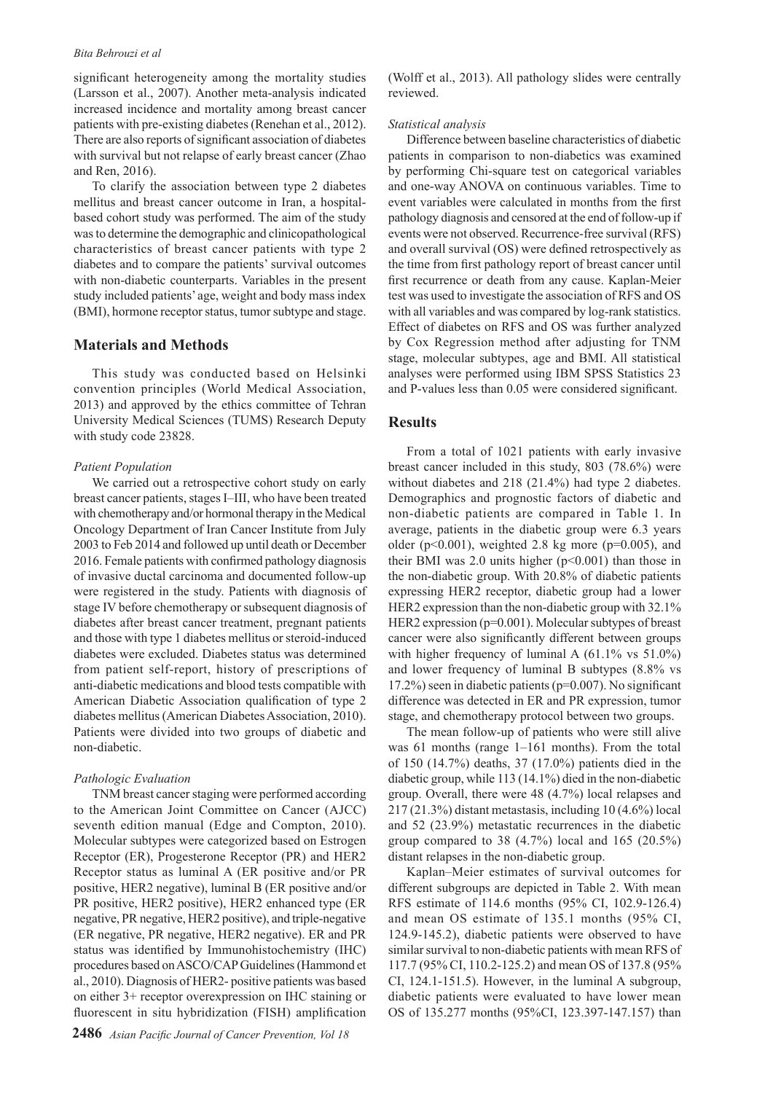#### *Bita Behrouzi et al*

significant heterogeneity among the mortality studies (Larsson et al., 2007). Another meta-analysis indicated increased incidence and mortality among breast cancer patients with pre-existing diabetes (Renehan et al., 2012). There are also reports of significant association of diabetes with survival but not relapse of early breast cancer (Zhao and Ren, 2016).

To clarify the association between type 2 diabetes mellitus and breast cancer outcome in Iran, a hospitalbased cohort study was performed. The aim of the study was to determine the demographic and clinicopathological characteristics of breast cancer patients with type 2 diabetes and to compare the patients' survival outcomes with non-diabetic counterparts. Variables in the present study included patients' age, weight and body mass index (BMI), hormone receptor status, tumor subtype and stage.

## **Materials and Methods**

This study was conducted based on Helsinki convention principles (World Medical Association, 2013) and approved by the ethics committee of Tehran University Medical Sciences (TUMS) Research Deputy with study code 23828.

#### *Patient Population*

We carried out a retrospective cohort study on early breast cancer patients, stages I–III, who have been treated with chemotherapy and/or hormonal therapy in the Medical Oncology Department of Iran Cancer Institute from July 2003 to Feb 2014 and followed up until death or December 2016. Female patients with confirmed pathology diagnosis of invasive ductal carcinoma and documented follow-up were registered in the study. Patients with diagnosis of stage IV before chemotherapy or subsequent diagnosis of diabetes after breast cancer treatment, pregnant patients and those with type 1 diabetes mellitus or steroid-induced diabetes were excluded. Diabetes status was determined from patient self-report, history of prescriptions of anti-diabetic medications and blood tests compatible with American Diabetic Association qualification of type 2 diabetes mellitus (American Diabetes Association, 2010). Patients were divided into two groups of diabetic and non-diabetic.

#### *Pathologic Evaluation*

TNM breast cancer staging were performed according to the American Joint Committee on Cancer (AJCC) seventh edition manual (Edge and Compton, 2010). Molecular subtypes were categorized based on Estrogen Receptor (ER), Progesterone Receptor (PR) and HER2 Receptor status as luminal A (ER positive and/or PR positive, HER2 negative), luminal B (ER positive and/or PR positive, HER2 positive), HER2 enhanced type (ER negative, PR negative, HER2 positive), and triple-negative (ER negative, PR negative, HER2 negative). ER and PR status was identified by Immunohistochemistry (IHC) procedures based on ASCO/CAP Guidelines (Hammond et al., 2010). Diagnosis of HER2- positive patients was based on either 3+ receptor overexpression on IHC staining or fluorescent in situ hybridization (FISH) amplification

(Wolff et al., 2013). All pathology slides were centrally reviewed.

#### *Statistical analysis*

Difference between baseline characteristics of diabetic patients in comparison to non-diabetics was examined by performing Chi-square test on categorical variables and one-way ANOVA on continuous variables. Time to event variables were calculated in months from the first pathology diagnosis and censored at the end of follow-up if events were not observed. Recurrence-free survival (RFS) and overall survival (OS) were defined retrospectively as the time from first pathology report of breast cancer until first recurrence or death from any cause. Kaplan-Meier test was used to investigate the association of RFS and OS with all variables and was compared by log-rank statistics. Effect of diabetes on RFS and OS was further analyzed by Cox Regression method after adjusting for TNM stage, molecular subtypes, age and BMI. All statistical analyses were performed using IBM SPSS Statistics 23 and P-values less than 0.05 were considered significant.

## **Results**

From a total of 1021 patients with early invasive breast cancer included in this study, 803 (78.6%) were without diabetes and 218 (21.4%) had type 2 diabetes. Demographics and prognostic factors of diabetic and non-diabetic patients are compared in Table 1. In average, patients in the diabetic group were 6.3 years older ( $p<0.001$ ), weighted 2.8 kg more ( $p=0.005$ ), and their BMI was 2.0 units higher  $(p<0.001)$  than those in the non-diabetic group. With 20.8% of diabetic patients expressing HER2 receptor, diabetic group had a lower HER2 expression than the non-diabetic group with 32.1% HER2 expression (p=0.001). Molecular subtypes of breast cancer were also significantly different between groups with higher frequency of luminal A  $(61.1\% \text{ vs } 51.0\%)$ and lower frequency of luminal B subtypes (8.8% vs 17.2%) seen in diabetic patients (p=0.007). No significant difference was detected in ER and PR expression, tumor stage, and chemotherapy protocol between two groups.

The mean follow-up of patients who were still alive was 61 months (range 1–161 months). From the total of 150 (14.7%) deaths, 37 (17.0%) patients died in the diabetic group, while 113 (14.1%) died in the non-diabetic group. Overall, there were 48 (4.7%) local relapses and 217 (21.3%) distant metastasis, including 10 (4.6%) local and 52 (23.9%) metastatic recurrences in the diabetic group compared to 38  $(4.7\%)$  local and 165  $(20.5\%)$ distant relapses in the non-diabetic group.

Kaplan–Meier estimates of survival outcomes for different subgroups are depicted in Table 2. With mean RFS estimate of 114.6 months (95% CI, 102.9-126.4) and mean OS estimate of 135.1 months (95% CI, 124.9-145.2), diabetic patients were observed to have similar survival to non-diabetic patients with mean RFS of 117.7 (95% CI, 110.2-125.2) and mean OS of 137.8 (95% CI, 124.1-151.5). However, in the luminal A subgroup, diabetic patients were evaluated to have lower mean OS of 135.277 months (95%CI, 123.397-147.157) than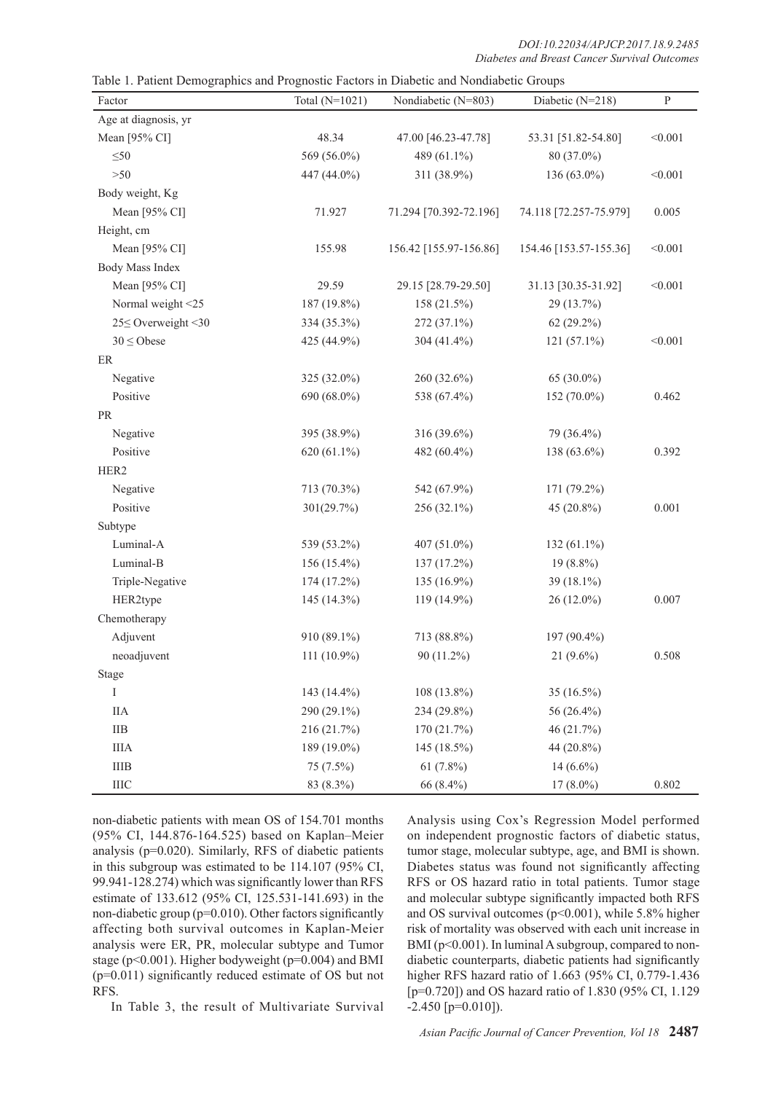*DOI:10.22034/APJCP.2017.18.9.2485 Diabetes and Breast Cancer Survival Outcomes*

|  |  | Table 1. Patient Demographics and Prognostic Factors in Diabetic and Nondiabetic Groups |
|--|--|-----------------------------------------------------------------------------------------|
|  |  |                                                                                         |

| Factor               | Total $(N=1021)$ | Nondiabetic (N=803)    | Diabetic (N=218)       | ${\bf P}$ |  |
|----------------------|------------------|------------------------|------------------------|-----------|--|
| Age at diagnosis, yr |                  |                        |                        |           |  |
| Mean [95% CI]        | 48.34            | 47.00 [46.23-47.78]    | 53.31 [51.82-54.80]    | < 0.001   |  |
| $\leq 50$            | 569 (56.0%)      | 489 (61.1%)            | 80 (37.0%)             |           |  |
| $>50$                | 447 (44.0%)      | 311 (38.9%)            | 136 (63.0%)            | < 0.001   |  |
| Body weight, Kg      |                  |                        |                        |           |  |
| Mean [95% CI]        | 71.927           | 71.294 [70.392-72.196] | 74.118 [72.257-75.979] | 0.005     |  |
| Height, cm           |                  |                        |                        |           |  |
| Mean [95% CI]        | 155.98           | 156.42 [155.97-156.86] | 154.46 [153.57-155.36] | < 0.001   |  |
| Body Mass Index      |                  |                        |                        |           |  |
| Mean [95% CI]        | 29.59            | 29.15 [28.79-29.50]    | 31.13 [30.35-31.92]    | < 0.001   |  |
| Normal weight <25    | 187 (19.8%)      | 158 (21.5%)            | 29 (13.7%)             |           |  |
| 25 SOverweight < 30  | 334 (35.3%)      | 272 (37.1%)            | 62 (29.2%)             |           |  |
| $30 \leq$ Obese      | 425 (44.9%)      | 304 (41.4%)            | 121 (57.1%)            | < 0.001   |  |
| ER                   |                  |                        |                        |           |  |
| Negative             | 325 (32.0%)      | 260 (32.6%)            | 65 $(30.0\%)$          |           |  |
| Positive             | 690 (68.0%)      | 538 (67.4%)            | 152 (70.0%)            | 0.462     |  |
| $\rm PR$             |                  |                        |                        |           |  |
| Negative             | 395 (38.9%)      | 316 (39.6%)            | 79 (36.4%)             |           |  |
| Positive             | 620 (61.1%)      | 482 (60.4%)            | 138 (63.6%)            | 0.392     |  |
| HER2                 |                  |                        |                        |           |  |
| Negative             | 713 (70.3%)      | 542 (67.9%)            | 171 (79.2%)            |           |  |
| Positive             | 301(29.7%)       | 256 (32.1%)            | 45 (20.8%)             | 0.001     |  |
| Subtype              |                  |                        |                        |           |  |
| Luminal-A            | 539 (53.2%)      | $407(51.0\%)$          | 132 (61.1%)            |           |  |
| Luminal-B            | 156 (15.4%)      | 137 (17.2%)            | $19(8.8\%)$            |           |  |
| Triple-Negative      | 174 (17.2%)      | 135 $(16.9\%)$         | 39 (18.1%)             |           |  |
| HER2type             | 145 (14.3%)      | 119 (14.9%)            | 26 (12.0%)             | 0.007     |  |
| Chemotherapy         |                  |                        |                        |           |  |
| Adjuvent             | 910 (89.1%)      | 713 (88.8%)            | 197 (90.4%)            |           |  |
| neoadjuvent          | 111 (10.9%)      | 90 (11.2%)             | $21(9.6\%)$            | 0.508     |  |
| Stage                |                  |                        |                        |           |  |
| I                    | 143 (14.4%)      | 108 (13.8%)            | 35 (16.5%)             |           |  |
| <b>IIA</b>           | 290 (29.1%)      | 234 (29.8%)            | 56 (26.4%)             |           |  |
| $\rm IIB$            | 216 (21.7%)      | 170 (21.7%)            | 46 (21.7%)             |           |  |
| <b>IIIA</b>          | 189 (19.0%)      | 145 (18.5%)            | 44 (20.8%)             |           |  |
| <b>IIIB</b>          | 75 (7.5%)        | $61(7.8\%)$            | 14 $(6.6\%)$           |           |  |
| IIIC                 | 83 (8.3%)        | 66 (8.4%)              | $17(8.0\%)$            | 0.802     |  |

non-diabetic patients with mean OS of 154.701 months (95% CI, 144.876-164.525) based on Kaplan–Meier analysis (p=0.020). Similarly, RFS of diabetic patients in this subgroup was estimated to be 114.107 (95% CI, 99.941-128.274) which was significantly lower than RFS estimate of 133.612 (95% CI, 125.531-141.693) in the non-diabetic group (p=0.010). Other factors significantly affecting both survival outcomes in Kaplan-Meier analysis were ER, PR, molecular subtype and Tumor stage (p<0.001). Higher bodyweight (p=0.004) and BMI (p=0.011) significantly reduced estimate of OS but not RFS.

In Table 3, the result of Multivariate Survival

Analysis using Cox's Regression Model performed on independent prognostic factors of diabetic status, tumor stage, molecular subtype, age, and BMI is shown. Diabetes status was found not significantly affecting RFS or OS hazard ratio in total patients. Tumor stage and molecular subtype significantly impacted both RFS and OS survival outcomes (p<0.001), while 5.8% higher risk of mortality was observed with each unit increase in BMI ( $p<0.001$ ). In luminal A subgroup, compared to nondiabetic counterparts, diabetic patients had significantly higher RFS hazard ratio of 1.663 (95% CI, 0.779-1.436 [p=0.720]) and OS hazard ratio of 1.830 (95% CI, 1.129  $-2.450$  [p=0.010]).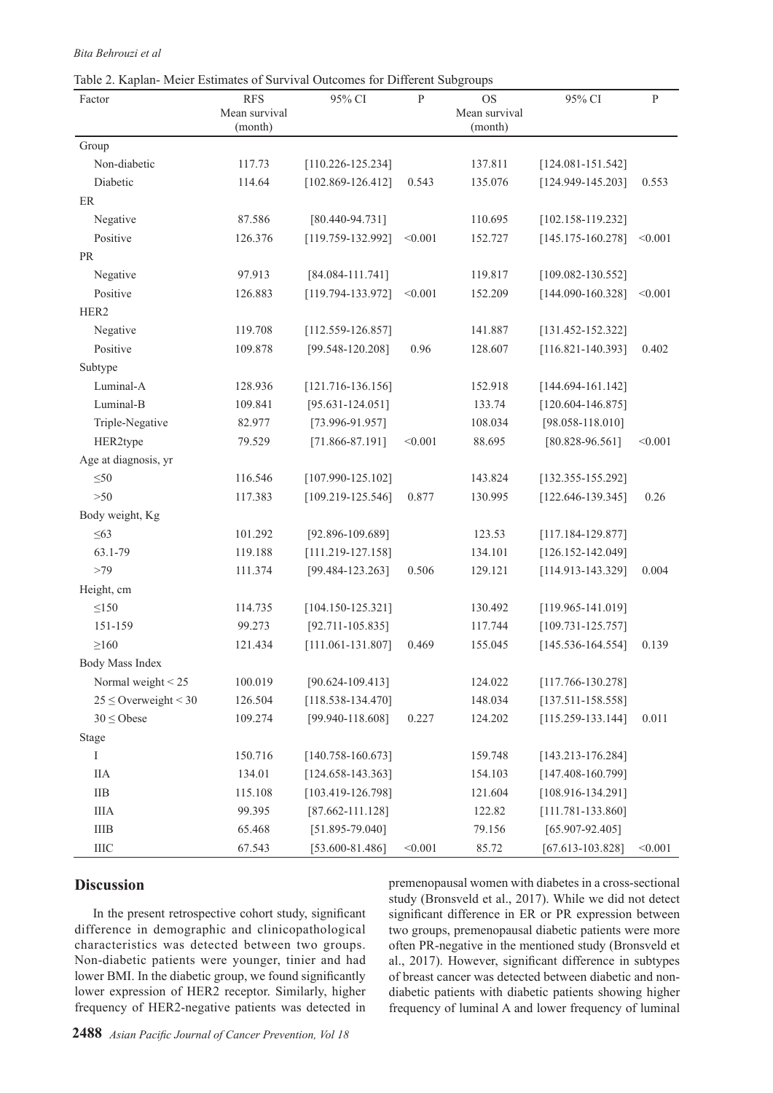#### *Bita Behrouzi et al*

Table 2. Kaplan- Meier Estimates of Survival Outcomes for Different Subgroups

| Factor                    | <b>RFS</b>               | 95% CI                | ${\bf P}$ | <b>OS</b>                | 95% CI                | $\, {\bf P}$ |
|---------------------------|--------------------------|-----------------------|-----------|--------------------------|-----------------------|--------------|
|                           | Mean survival<br>(month) |                       |           | Mean survival<br>(month) |                       |              |
| Group                     |                          |                       |           |                          |                       |              |
| Non-diabetic              | 117.73                   | $[110.226 - 125.234]$ |           | 137.811                  | $[124.081 - 151.542]$ |              |
| Diabetic                  | 114.64                   | $[102.869 - 126.412]$ | 0.543     | 135.076                  | $[124.949 - 145.203]$ | 0.553        |
| ER                        |                          |                       |           |                          |                       |              |
| Negative                  | 87.586                   | $[80.440 - 94.731]$   |           | 110.695                  | $[102.158 - 119.232]$ |              |
| Positive                  | 126.376                  | $[119.759 - 132.992]$ | < 0.001   | 152.727                  | $[145.175 - 160.278]$ | < 0.001      |
| PR                        |                          |                       |           |                          |                       |              |
| Negative                  | 97.913                   | $[84.084 - 111.741]$  |           | 119.817                  | $[109.082 - 130.552]$ |              |
| Positive                  | 126.883                  | $[119.794 - 133.972]$ | < 0.001   | 152.209                  | $[144.090 - 160.328]$ | < 0.001      |
| HER2                      |                          |                       |           |                          |                       |              |
| Negative                  | 119.708                  | $[112.559 - 126.857]$ |           | 141.887                  | $[131.452 - 152.322]$ |              |
| Positive                  | 109.878                  | $[99.548 - 120.208]$  | 0.96      | 128.607                  | $[116.821 - 140.393]$ | 0.402        |
| Subtype                   |                          |                       |           |                          |                       |              |
| Luminal-A                 | 128.936                  | $[121.716 - 136.156]$ |           | 152.918                  | $[144.694 - 161.142]$ |              |
| Luminal-B                 | 109.841                  | $[95.631 - 124.051]$  |           | 133.74                   | $[120.604 - 146.875]$ |              |
| Triple-Negative           | 82.977                   | $[73.996 - 91.957]$   |           | 108.034                  | $[98.058 - 118.010]$  |              |
| HER2type                  | 79.529                   | $[71.866 - 87.191]$   | < 0.001   | 88.695                   | $[80.828 - 96.561]$   | < 0.001      |
| Age at diagnosis, yr      |                          |                       |           |                          |                       |              |
| $\leq 50$                 | 116.546                  | $[107.990 - 125.102]$ |           | 143.824                  | $[132.355 - 155.292]$ |              |
| $>50$                     | 117.383                  | $[109.219 - 125.546]$ | 0.877     | 130.995                  | $[122.646-139.345]$   | 0.26         |
| Body weight, Kg           |                          |                       |           |                          |                       |              |
| $\leq 63$                 | 101.292                  | $[92.896 - 109.689]$  |           | 123.53                   | $[117.184 - 129.877]$ |              |
| 63.1-79                   | 119.188                  | $[111.219 - 127.158]$ |           | 134.101                  | $[126.152 - 142.049]$ |              |
| >79                       | 111.374                  | $[99.484 - 123.263]$  | 0.506     | 129.121                  | $[114.913 - 143.329]$ | 0.004        |
| Height, cm                |                          |                       |           |                          |                       |              |
| $\leq150$                 | 114.735                  | $[104.150 - 125.321]$ |           | 130.492                  | $[119.965 - 141.019]$ |              |
| 151-159                   | 99.273                   | $[92.711 - 105.835]$  |           | 117.744                  | $[109.731 - 125.757]$ |              |
| $\geq$ 160                | 121.434                  | $[111.061 - 131.807]$ | 0.469     | 155.045                  | $[145.536 - 164.554]$ | 0.139        |
| Body Mass Index           |                          |                       |           |                          |                       |              |
| Normal weight < 25        | 100.019                  | $[90.624 - 109.413]$  |           | 124.022                  | $[117.766 - 130.278]$ |              |
| $25 \leq$ Overweight < 30 | 126.504                  | $[118.538 - 134.470]$ |           | 148.034                  | $[137.511 - 158.558]$ |              |
| $30 \leq$ Obese           | 109.274                  | $[99.940 - 118.608]$  | 0.227     | 124.202                  | $[115.259 - 133.144]$ | 0.011        |
| Stage                     |                          |                       |           |                          |                       |              |
| Ι                         | 150.716                  | $[140.758 - 160.673]$ |           | 159.748                  | $[143.213 - 176.284]$ |              |
| <b>IIA</b>                | 134.01                   | $[124.658 - 143.363]$ |           | 154.103                  | $[147.408 - 160.799]$ |              |
| $\rm IIB$                 | 115.108                  | $[103.419 - 126.798]$ |           | 121.604                  | $[108.916 - 134.291]$ |              |
| <b>IIIA</b>               | 99.395                   | $[87.662 - 111.128]$  |           | 122.82                   | $[111.781 - 133.860]$ |              |
| <b>IIIB</b>               | 65.468                   | $[51.895 - 79.040]$   |           | 79.156                   | $[65.907 - 92.405]$   |              |
| <b>IIIC</b>               | 67.543                   | $[53.600 - 81.486]$   | < 0.001   | 85.72                    | $[67.613 - 103.828]$  | < 0.001      |

## **Discussion**

In the present retrospective cohort study, significant difference in demographic and clinicopathological characteristics was detected between two groups. Non-diabetic patients were younger, tinier and had lower BMI. In the diabetic group, we found significantly lower expression of HER2 receptor. Similarly, higher frequency of HER2-negative patients was detected in premenopausal women with diabetes in a cross-sectional study (Bronsveld et al., 2017). While we did not detect significant difference in ER or PR expression between two groups, premenopausal diabetic patients were more often PR-negative in the mentioned study (Bronsveld et al., 2017). However, significant difference in subtypes of breast cancer was detected between diabetic and nondiabetic patients with diabetic patients showing higher frequency of luminal A and lower frequency of luminal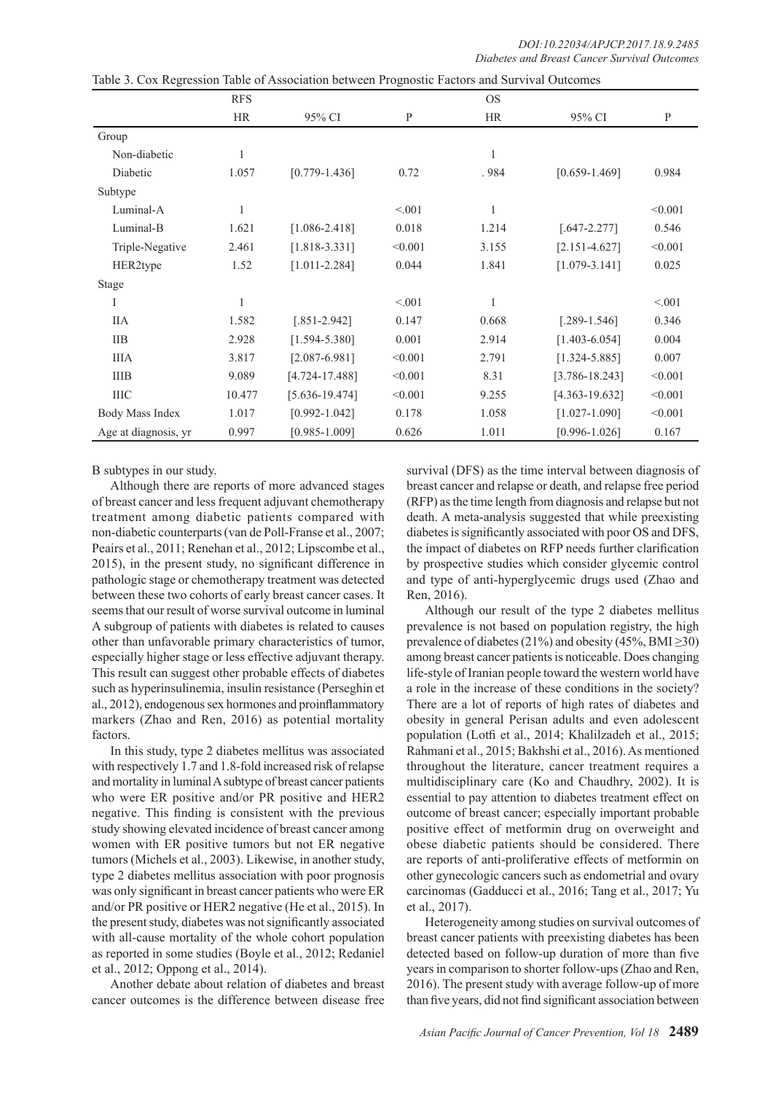|                      | <b>RFS</b>   |                    |         | <b>OS</b>    |                    |         |
|----------------------|--------------|--------------------|---------|--------------|--------------------|---------|
|                      | <b>HR</b>    | 95% CI             | P       | <b>HR</b>    | 95% CI             | P       |
| Group                |              |                    |         |              |                    |         |
| Non-diabetic         | $\mathbf{1}$ |                    |         | $\mathbf{1}$ |                    |         |
| Diabetic             | 1.057        | $[0.779 - 1.436]$  | 0.72    | .984         | $[0.659 - 1.469]$  | 0.984   |
| Subtype              |              |                    |         |              |                    |         |
| Luminal-A            | $\mathbf{1}$ |                    | < 0.01  | $\mathbf{1}$ |                    | < 0.001 |
| Luminal-B            | 1.621        | $[1.086 - 2.418]$  | 0.018   | 1.214        | $[.647 - 2.277]$   | 0.546   |
| Triple-Negative      | 2.461        | $[1.818 - 3.331]$  | < 0.001 | 3.155        | $[2.151 - 4.627]$  | < 0.001 |
| HER2type             | 1.52         | $[1.011 - 2.284]$  | 0.044   | 1.841        | $[1.079 - 3.141]$  | 0.025   |
| Stage                |              |                    |         |              |                    |         |
| I                    | 1            |                    | < 0.01  |              |                    | < 0.001 |
| ПA                   | 1.582        | $[.851 - 2.942]$   | 0.147   | 0.668        | $[.289-1.546]$     | 0.346   |
| <b>IIB</b>           | 2.928        | $[1.594 - 5.380]$  | 0.001   | 2.914        | $[1.403 - 6.054]$  | 0.004   |
| <b>IIIA</b>          | 3.817        | $[2.087 - 6.981]$  | < 0.001 | 2.791        | $[1.324 - 5.885]$  | 0.007   |
| <b>IIIB</b>          | 9.089        | $[4.724 - 17.488]$ | < 0.001 | 8.31         | $[3.786 - 18.243]$ | < 0.001 |
| <b>IIIC</b>          | 10.477       | $[5.636 - 19.474]$ | < 0.001 | 9.255        | [4.363-19.632]     | < 0.001 |
| Body Mass Index      | 1.017        | $[0.992 - 1.042]$  | 0.178   | 1.058        | $[1.027 - 1.090]$  | < 0.001 |
| Age at diagnosis, yr | 0.997        | $[0.985 - 1.009]$  | 0.626   | 1.011        | $[0.996 - 1.026]$  | 0.167   |

Table 3. Cox Regression Table of Association between Prognostic Factors and Survival Outcomes

B subtypes in our study.

Although there are reports of more advanced stages of breast cancer and less frequent adjuvant chemotherapy treatment among diabetic patients compared with non-diabetic counterparts (van de Poll-Franse et al., 2007; Peairs et al., 2011; Renehan et al., 2012; Lipscombe et al., 2015), in the present study, no significant difference in pathologic stage or chemotherapy treatment was detected between these two cohorts of early breast cancer cases. It seems that our result of worse survival outcome in luminal A subgroup of patients with diabetes is related to causes other than unfavorable primary characteristics of tumor, especially higher stage or less effective adjuvant therapy. This result can suggest other probable effects of diabetes such as hyperinsulinemia, insulin resistance (Perseghin et al., 2012), endogenous sex hormones and proinflammatory markers (Zhao and Ren, 2016) as potential mortality factors.

In this study, type 2 diabetes mellitus was associated with respectively 1.7 and 1.8-fold increased risk of relapse and mortality in luminal A subtype of breast cancer patients who were ER positive and/or PR positive and HER2 negative. This finding is consistent with the previous study showing elevated incidence of breast cancer among women with ER positive tumors but not ER negative tumors (Michels et al., 2003). Likewise, in another study, type 2 diabetes mellitus association with poor prognosis was only significant in breast cancer patients who were ER and/or PR positive or HER2 negative (He et al., 2015). In the present study, diabetes was not significantly associated with all-cause mortality of the whole cohort population as reported in some studies (Boyle et al., 2012; Redaniel et al., 2012; Oppong et al., 2014).

Another debate about relation of diabetes and breast cancer outcomes is the difference between disease free survival (DFS) as the time interval between diagnosis of breast cancer and relapse or death, and relapse free period (RFP) as the time length from diagnosis and relapse but not death. A meta-analysis suggested that while preexisting diabetes is significantly associated with poor OS and DFS, the impact of diabetes on RFP needs further clarification by prospective studies which consider glycemic control and type of anti-hyperglycemic drugs used (Zhao and Ren, 2016).

Although our result of the type 2 diabetes mellitus prevalence is not based on population registry, the high prevalence of diabetes (21%) and obesity (45%, BMI $\geq$ 30) among breast cancer patients is noticeable. Does changing life-style of Iranian people toward the western world have a role in the increase of these conditions in the society? There are a lot of reports of high rates of diabetes and obesity in general Perisan adults and even adolescent population (Lotfi et al., 2014; Khalilzadeh et al., 2015; Rahmani et al., 2015; Bakhshi et al., 2016). As mentioned throughout the literature, cancer treatment requires a multidisciplinary care (Ko and Chaudhry, 2002). It is essential to pay attention to diabetes treatment effect on outcome of breast cancer; especially important probable positive effect of metformin drug on overweight and obese diabetic patients should be considered. There are reports of anti-proliferative effects of metformin on other gynecologic cancers such as endometrial and ovary carcinomas (Gadducci et al., 2016; Tang et al., 2017; Yu et al., 2017).

Heterogeneity among studies on survival outcomes of breast cancer patients with preexisting diabetes has been detected based on follow-up duration of more than five years in comparison to shorter follow-ups (Zhao and Ren, 2016). The present study with average follow-up of more than five years, did not find significant association between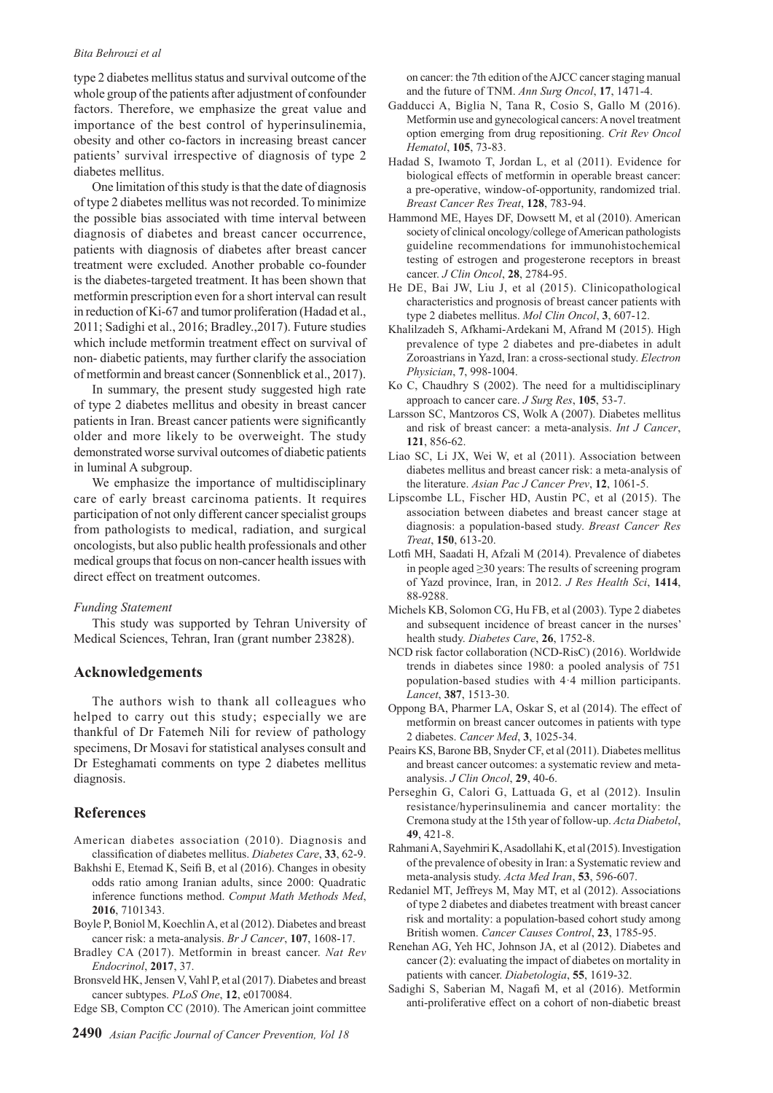#### *Bita Behrouzi et al*

type 2 diabetes mellitus status and survival outcome of the whole group of the patients after adjustment of confounder factors. Therefore, we emphasize the great value and importance of the best control of hyperinsulinemia, obesity and other co-factors in increasing breast cancer patients' survival irrespective of diagnosis of type 2 diabetes mellitus.

One limitation of this study is that the date of diagnosis of type 2 diabetes mellitus was not recorded. To minimize the possible bias associated with time interval between diagnosis of diabetes and breast cancer occurrence, patients with diagnosis of diabetes after breast cancer treatment were excluded. Another probable co-founder is the diabetes-targeted treatment. It has been shown that metformin prescription even for a short interval can result in reduction of Ki-67 and tumor proliferation (Hadad et al., 2011; Sadighi et al., 2016; Bradley.,2017). Future studies which include metformin treatment effect on survival of non- diabetic patients, may further clarify the association of metformin and breast cancer (Sonnenblick et al., 2017).

In summary, the present study suggested high rate of type 2 diabetes mellitus and obesity in breast cancer patients in Iran. Breast cancer patients were significantly older and more likely to be overweight. The study demonstrated worse survival outcomes of diabetic patients in luminal A subgroup.

We emphasize the importance of multidisciplinary care of early breast carcinoma patients. It requires participation of not only different cancer specialist groups from pathologists to medical, radiation, and surgical oncologists, but also public health professionals and other medical groups that focus on non-cancer health issues with direct effect on treatment outcomes.

#### *Funding Statement*

This study was supported by Tehran University of Medical Sciences, Tehran, Iran (grant number 23828).

## **Acknowledgements**

The authors wish to thank all colleagues who helped to carry out this study; especially we are thankful of Dr Fatemeh Nili for review of pathology specimens, Dr Mosavi for statistical analyses consult and Dr Esteghamati comments on type 2 diabetes mellitus diagnosis.

### **References**

- American diabetes association (2010). Diagnosis and classification of diabetes mellitus. *Diabetes Care*, **33**, 62-9.
- Bakhshi E, Etemad K, Seifi B, et al (2016). Changes in obesity odds ratio among Iranian adults, since 2000: Quadratic inference functions method. *Comput Math Methods Med*, **2016**, 7101343.
- Boyle P, Boniol M, Koechlin A, et al (2012). Diabetes and breast cancer risk: a meta-analysis. *Br J Cancer*, **107**, 1608-17.
- Bradley CA (2017). Metformin in breast cancer. *Nat Rev Endocrinol*, **2017**, 37.
- Bronsveld HK, Jensen V, Vahl P, et al (2017). Diabetes and breast cancer subtypes. *PLoS One*, **12**, e0170084.
- Edge SB, Compton CC (2010). The American joint committee

on cancer: the 7th edition of the AJCC cancer staging manual and the future of TNM. *Ann Surg Oncol*, **17**, 1471-4.

- Gadducci A, Biglia N, Tana R, Cosio S, Gallo M (2016). Metformin use and gynecological cancers: A novel treatment option emerging from drug repositioning. *Crit Rev Oncol Hematol*, **105**, 73-83.
- Hadad S, Iwamoto T, Jordan L, et al (2011). Evidence for biological effects of metformin in operable breast cancer: a pre-operative, window-of-opportunity, randomized trial. *Breast Cancer Res Treat*, **128**, 783-94.
- Hammond ME, Hayes DF, Dowsett M, et al (2010). American society of clinical oncology/college of American pathologists guideline recommendations for immunohistochemical testing of estrogen and progesterone receptors in breast cancer. *J Clin Oncol*, **28**, 2784-95.
- He DE, Bai JW, Liu J, et al (2015). Clinicopathological characteristics and prognosis of breast cancer patients with type 2 diabetes mellitus. *Mol Clin Oncol*, **3**, 607-12.
- Khalilzadeh S, Afkhami-Ardekani M, Afrand M (2015). High prevalence of type 2 diabetes and pre-diabetes in adult Zoroastrians in Yazd, Iran: a cross-sectional study. *Electron Physician*, **7**, 998-1004.
- Ko C, Chaudhry S (2002). The need for a multidisciplinary approach to cancer care. *J Surg Res*, **105**, 53-7.
- Larsson SC, Mantzoros CS, Wolk A (2007). Diabetes mellitus and risk of breast cancer: a meta-analysis. *Int J Cancer*, **121**, 856-62.
- Liao SC, Li JX, Wei W, et al (2011). Association between diabetes mellitus and breast cancer risk: a meta-analysis of the literature. *Asian Pac J Cancer Prev*, **12**, 1061-5.
- Lipscombe LL, Fischer HD, Austin PC, et al (2015). The association between diabetes and breast cancer stage at diagnosis: a population-based study. *Breast Cancer Res Treat*, **150**, 613-20.
- Lotfi MH, Saadati H, Afzali M (2014). Prevalence of diabetes in people aged ≥30 years: The results of screening program of Yazd province, Iran, in 2012. *J Res Health Sci*, **1414**, 88-9288.
- Michels KB, Solomon CG, Hu FB, et al (2003). Type 2 diabetes and subsequent incidence of breast cancer in the nurses' health study. *Diabetes Care*, **26**, 1752-8.
- NCD risk factor collaboration (NCD-RisC) (2016). Worldwide trends in diabetes since 1980: a pooled analysis of 751 population-based studies with 4·4 million participants. *Lancet*, **387**, 1513-30.
- Oppong BA, Pharmer LA, Oskar S, et al (2014). The effect of metformin on breast cancer outcomes in patients with type 2 diabetes. *Cancer Med*, **3**, 1025-34.
- Peairs KS, Barone BB, Snyder CF, et al (2011). Diabetes mellitus and breast cancer outcomes: a systematic review and metaanalysis. *J Clin Oncol*, **29**, 40-6.
- Perseghin G, Calori G, Lattuada G, et al (2012). Insulin resistance/hyperinsulinemia and cancer mortality: the Cremona study at the 15th year of follow-up. *Acta Diabetol*, **49**, 421-8.
- Rahmani A, Sayehmiri K, Asadollahi K, et al (2015). Investigation of the prevalence of obesity in Iran: a Systematic review and meta-analysis study. *Acta Med Iran*, **53**, 596-607.
- Redaniel MT, Jeffreys M, May MT, et al (2012). Associations of type 2 diabetes and diabetes treatment with breast cancer risk and mortality: a population-based cohort study among British women. *Cancer Causes Control*, **23**, 1785-95.
- Renehan AG, Yeh HC, Johnson JA, et al (2012). Diabetes and cancer (2): evaluating the impact of diabetes on mortality in patients with cancer. *Diabetologia*, **55**, 1619-32.
- Sadighi S, Saberian M, Nagafi M, et al (2016). Metformin anti-proliferative effect on a cohort of non-diabetic breast